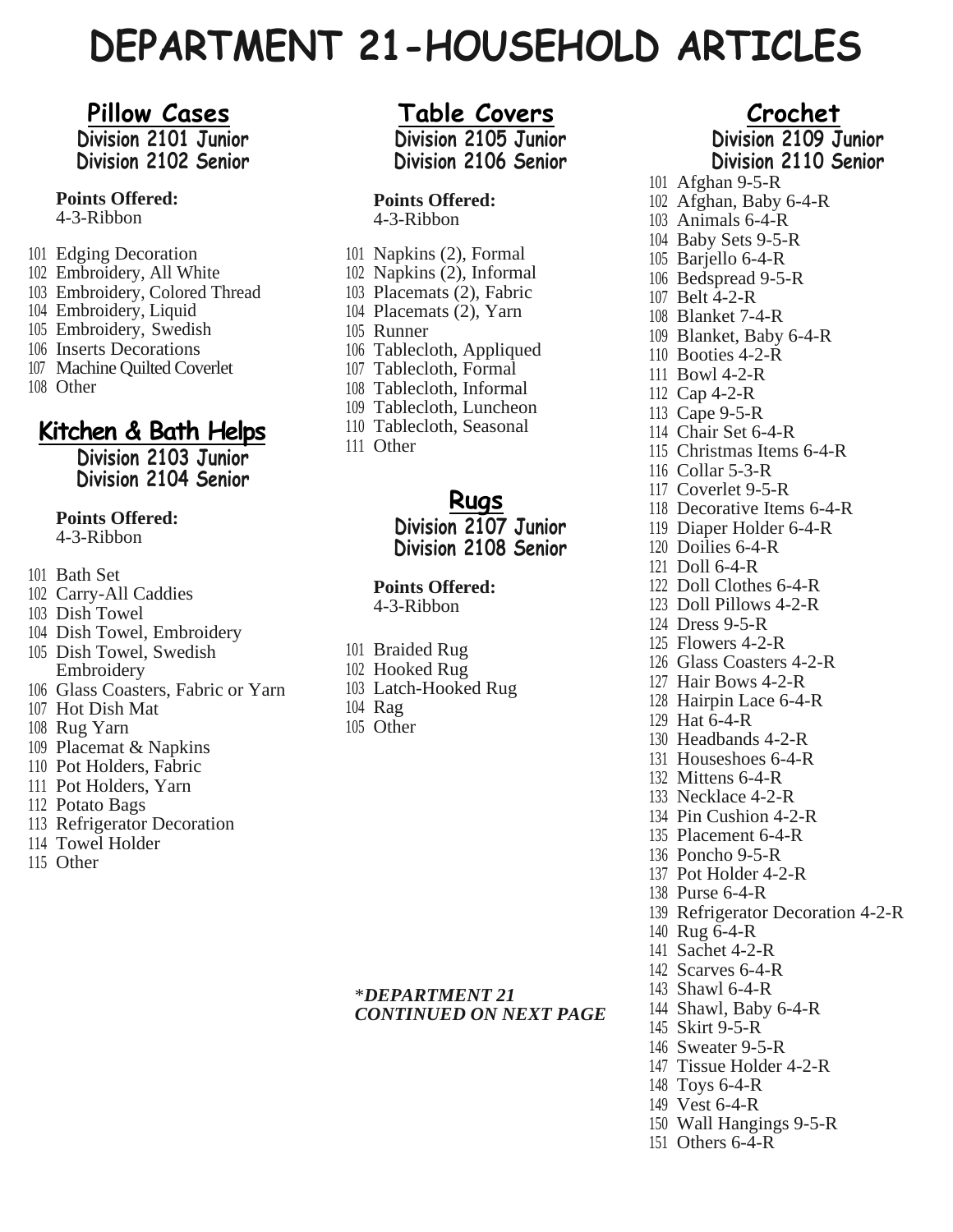# **DEPARTMENT 21-HOUSEHOLD ARTICLES**

# **Pillow Cases**

**Division 2101 Junior Division 2102 Senior**

**Points Offered:**

4-3-Ribbon

- Edging Decoration
- Embroidery, All White
- Embroidery, Colored Thread
- Embroidery, Liquid
- Embroidery, Swedish
- Inserts Decorations
- Machine Quilted Coverlet
- Other

# **Kitchen & Bath Helps**

**Division 2103 Junior Division 2104 Senior**

#### **Points Offered:**

4-3-Ribbon

- Bath Set
- Carry-All Caddies
- Dish Towel
- Dish Towel, Embroidery
- Dish Towel, Swedish Embroidery
- Glass Coasters, Fabric or Yarn
- Hot Dish Mat
- Rug Yarn
- Placemat & Napkins
- Pot Holders, Fabric
- Pot Holders, Yarn
- Potato Bags
- Refrigerator Decoration
- Towel Holder
- Other

## **Table Covers**

**Division 2105 Junior Division 2106 Senior**

#### **Points Offered:**

4-3-Ribbon

- Napkins (2), Formal Napkins (2), Informal Placemats (2), Fabric Placemats (2), Yarn Runner Tablecloth, Appliqued Tablecloth, Formal Tablecloth, Informal Tablecloth, Luncheon Tablecloth, Seasonal
- Other

#### **Rugs Division 2107 Junior Division 2108 Senior**

#### **Points Offered:**

4-3-Ribbon

- Braided Rug
- Hooked Rug
- Latch-Hooked Rug
- Rag
- Other

### \**DEPARTMENT 21 CONTINUED ON NEXT PAGE*

**Crochet Division 2109 Junior Division 2110 Senior** Afghan 9-5-R

 Afghan, Baby 6-4-R Animals 6-4-R Baby Sets 9-5-R Barjello 6-4-R Bedspread 9-5-R Belt 4-2-R Blanket 7-4-R Blanket, Baby 6-4-R Booties 4-2-R Bowl 4-2-R Cap 4-2-R Cape 9-5-R Chair Set 6-4-R Christmas Items 6-4-R Collar 5-3-R Coverlet 9-5-R Decorative Items 6-4-R Diaper Holder 6-4-R Doilies 6-4-R Doll 6-4-R Doll Clothes 6-4-R Doll Pillows 4-2-R Dress 9-5-R Flowers 4-2-R Glass Coasters 4-2-R Hair Bows 4-2-R Hairpin Lace 6-4-R Hat 6-4-R Headbands 4-2-R Houseshoes 6-4-R Mittens 6-4-R Necklace 4-2-R Pin Cushion 4-2-R Placement 6-4-R Poncho 9-5-R Pot Holder 4-2-R Purse 6-4-R Refrigerator Decoration 4-2-R Rug 6-4-R Sachet 4-2-R Scarves 6-4-R Shawl 6-4-R Shawl, Baby 6-4-R Skirt 9-5-R Sweater 9-5-R Tissue Holder 4-2-R Toys 6-4-R Vest 6-4-R Wall Hangings 9-5-R

Others 6-4-R